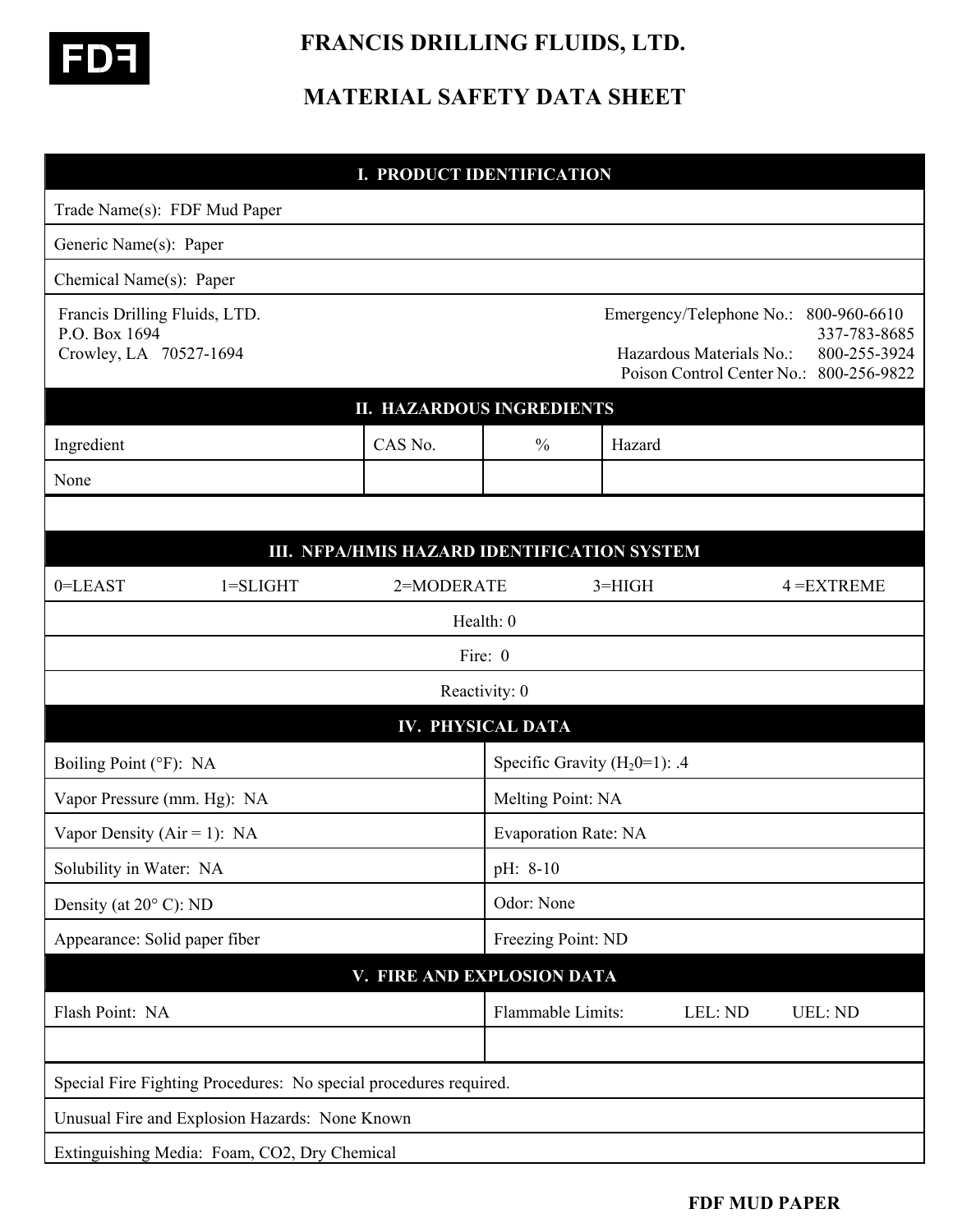

 **FRANCIS DRILLING FLUIDS, LTD.** 

# **MATERIAL SAFETY DATA SHEET**

| <b>I. PRODUCT IDENTIFICATION</b>                                         |               |            |                          |                                                      |                                                                                         |  |
|--------------------------------------------------------------------------|---------------|------------|--------------------------|------------------------------------------------------|-----------------------------------------------------------------------------------------|--|
| Trade Name(s): FDF Mud Paper                                             |               |            |                          |                                                      |                                                                                         |  |
| Generic Name(s): Paper                                                   |               |            |                          |                                                      |                                                                                         |  |
| Chemical Name(s): Paper                                                  |               |            |                          |                                                      |                                                                                         |  |
| Francis Drilling Fluids, LTD.<br>P.O. Box 1694<br>Crowley, LA 70527-1694 |               |            |                          | Emergency/Telephone No.:<br>Hazardous Materials No.: | 800-960-6610<br>337-783-8685<br>800-255-3924<br>Poison Control Center No.: 800-256-9822 |  |
| <b>II. HAZARDOUS INGREDIENTS</b>                                         |               |            |                          |                                                      |                                                                                         |  |
| Ingredient                                                               |               | CAS No.    | $\frac{0}{0}$            | Hazard                                               |                                                                                         |  |
| None                                                                     |               |            |                          |                                                      |                                                                                         |  |
|                                                                          |               |            |                          |                                                      |                                                                                         |  |
| III. NFPA/HMIS HAZARD IDENTIFICATION SYSTEM                              |               |            |                          |                                                      |                                                                                         |  |
| 0=LEAST                                                                  | $1 = SLIGHT$  | 2=MODERATE |                          | $3=HIGH$                                             | $4 = EXTREME$                                                                           |  |
|                                                                          | Health: 0     |            |                          |                                                      |                                                                                         |  |
|                                                                          |               |            | Fire: 0                  |                                                      |                                                                                         |  |
|                                                                          | Reactivity: 0 |            |                          |                                                      |                                                                                         |  |
|                                                                          |               |            | <b>IV. PHYSICAL DATA</b> |                                                      |                                                                                         |  |
| Boiling Point (°F): NA                                                   |               |            |                          | Specific Gravity ( $H_2$ 0=1): .4                    |                                                                                         |  |
| Vapor Pressure (mm. Hg): NA                                              |               |            |                          | Melting Point: NA                                    |                                                                                         |  |
| Vapor Density ( $Air = 1$ ): NA                                          |               |            |                          | <b>Evaporation Rate: NA</b>                          |                                                                                         |  |
| Solubility in Water: NA                                                  |               |            | pH: 8-10                 |                                                      |                                                                                         |  |
| Density (at $20^{\circ}$ C): ND                                          |               |            | Odor: None               |                                                      |                                                                                         |  |
| Appearance: Solid paper fiber                                            |               |            | Freezing Point: ND       |                                                      |                                                                                         |  |
| V. FIRE AND EXPLOSION DATA                                               |               |            |                          |                                                      |                                                                                         |  |
| Flash Point: NA                                                          |               |            | Flammable Limits:        | LEL: ND                                              | <b>UEL: ND</b>                                                                          |  |
|                                                                          |               |            |                          |                                                      |                                                                                         |  |
| Special Fire Fighting Procedures: No special procedures required.        |               |            |                          |                                                      |                                                                                         |  |
| Unusual Fire and Explosion Hazards: None Known                           |               |            |                          |                                                      |                                                                                         |  |
| Extinguishing Media: Foam, CO2, Dry Chemical                             |               |            |                          |                                                      |                                                                                         |  |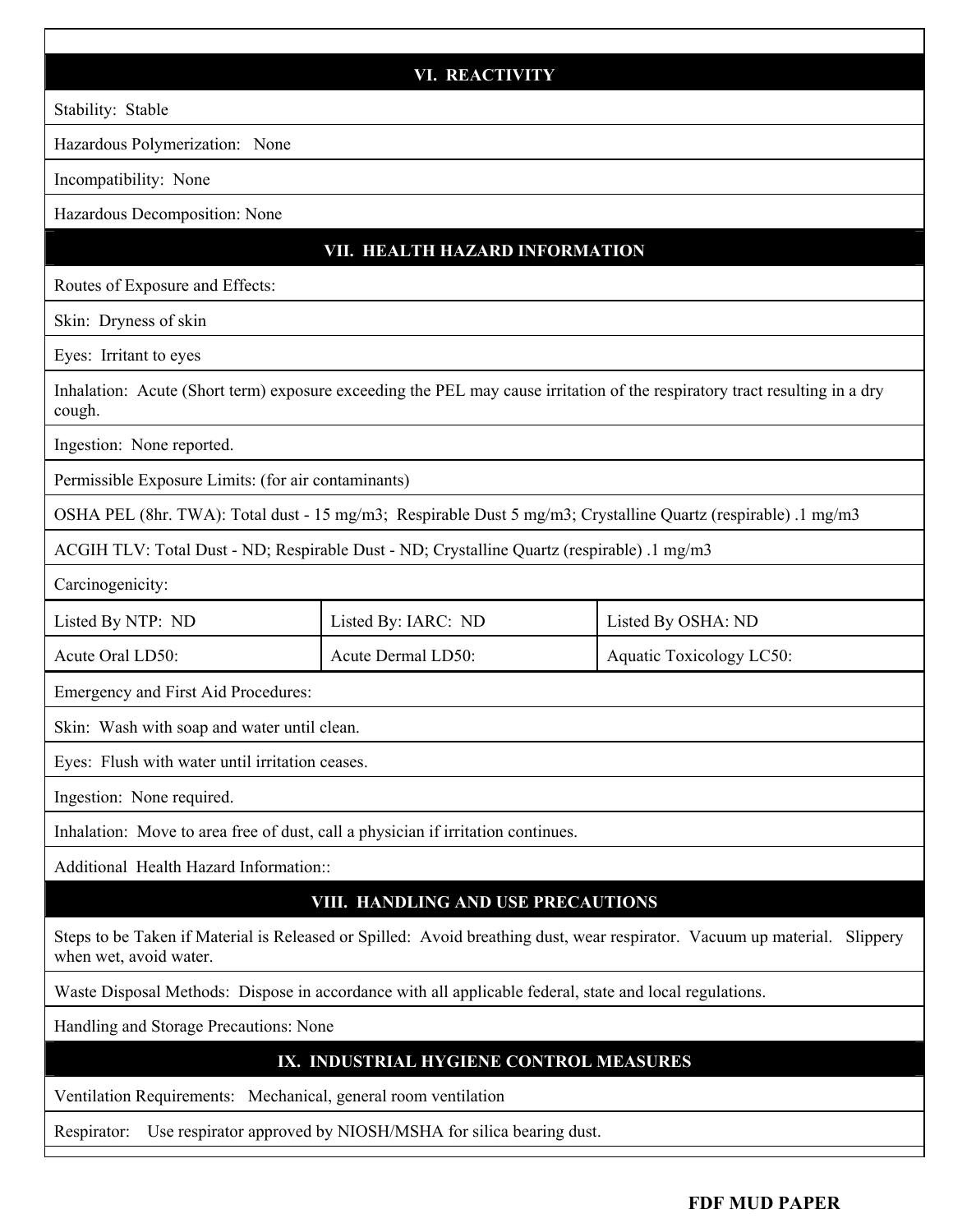#### **VI. REACTIVITY**

Stability: Stable

Hazardous Polymerization: None

Incompatibility: None

Hazardous Decomposition: None

### **VII. HEALTH HAZARD INFORMATION**

Routes of Exposure and Effects:

Skin: Dryness of skin

Eyes: Irritant to eyes

Inhalation: Acute (Short term) exposure exceeding the PEL may cause irritation of the respiratory tract resulting in a dry cough.

Ingestion: None reported.

Permissible Exposure Limits: (for air contaminants)

OSHA PEL (8hr. TWA): Total dust - 15 mg/m3; Respirable Dust 5 mg/m3; Crystalline Quartz (respirable) .1 mg/m3

ACGIH TLV: Total Dust - ND; Respirable Dust - ND; Crystalline Quartz (respirable) .1 mg/m3

Carcinogenicity:

| Listed By NTP: ND | Listed By: IARC: ND | Listed By OSHA: ND       |
|-------------------|---------------------|--------------------------|
| Acute Oral LD50:  | Acute Dermal LD50:  | Aquatic Toxicology LC50: |

Emergency and First Aid Procedures:

Skin: Wash with soap and water until clean.

Eyes: Flush with water until irritation ceases.

Ingestion: None required.

Inhalation: Move to area free of dust, call a physician if irritation continues.

Additional Health Hazard Information::

### **VIII. HANDLING AND USE PRECAUTIONS**

Steps to be Taken if Material is Released or Spilled: Avoid breathing dust, wear respirator. Vacuum up material. Slippery when wet, avoid water.

Waste Disposal Methods: Dispose in accordance with all applicable federal, state and local regulations.

Handling and Storage Precautions: None

## **IX. INDUSTRIAL HYGIENE CONTROL MEASURES**

Ventilation Requirements: Mechanical, general room ventilation

Respirator: Use respirator approved by NIOSH/MSHA for silica bearing dust.